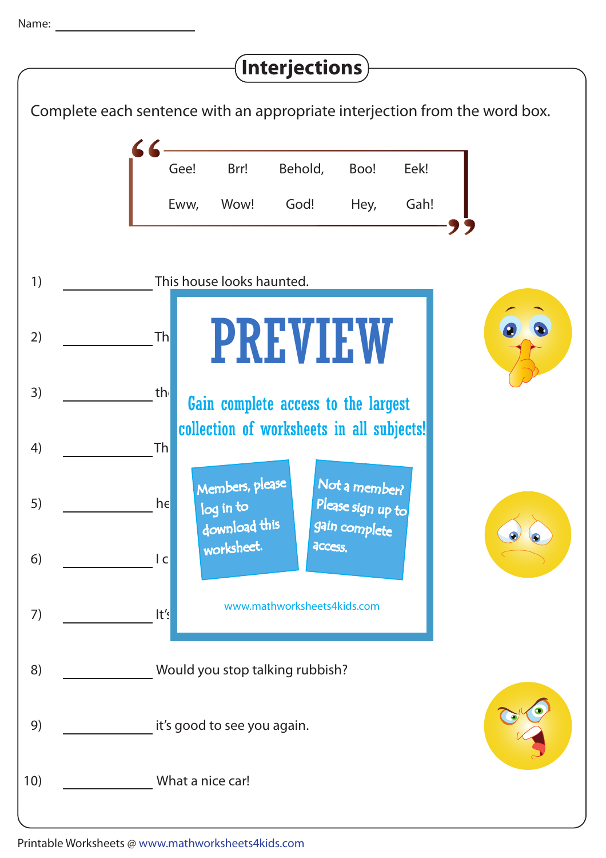